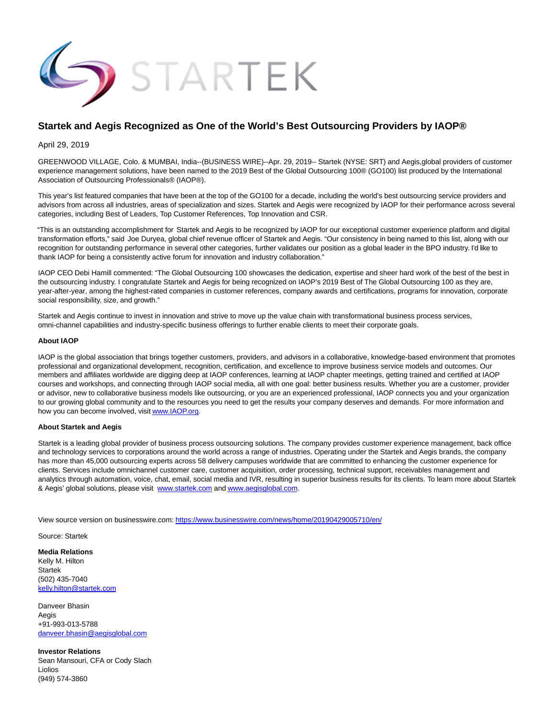

## **Startek and Aegis Recognized as One of the World's Best Outsourcing Providers by IAOP®**

April 29, 2019

GREENWOOD VILLAGE, Colo. & MUMBAI, India--(BUSINESS WIRE)--Apr. 29, 2019-- Startek (NYSE: SRT) and Aegis,global providers of customer experience management solutions, have been named to the 2019 Best of the Global Outsourcing 100® (GO100) list produced by the International Association of Outsourcing Professionals® (IAOP®).

This year's list featured companies that have been at the top of the GO100 for a decade, including the world's best outsourcing service providers and advisors from across all industries, areas of specialization and sizes. Startek and Aegis were recognized by IAOP for their performance across several categories, including Best of Leaders, Top Customer References, Top Innovation and CSR.

"This is an outstanding accomplishment for Startek and Aegis to be recognized by IAOP for our exceptional customer experience platform and digital transformation efforts," said Joe Duryea, global chief revenue officer of Startek and Aegis. "Our consistency in being named to this list, along with our recognition for outstanding performance in several other categories, further validates our position as a global leader in the BPO industry. I'd like to thank IAOP for being a consistently active forum for innovation and industry collaboration."

IAOP CEO Debi Hamill commented: "The Global Outsourcing 100 showcases the dedication, expertise and sheer hard work of the best of the best in the outsourcing industry. I congratulate Startek and Aegis for being recognized on IAOP's 2019 Best of The Global Outsourcing 100 as they are, year-after-year, among the highest-rated companies in customer references, company awards and certifications, programs for innovation, corporate social responsibility, size, and growth."

Startek and Aegis continue to invest in innovation and strive to move up the value chain with transformational business process services, omni-channel capabilities and industry-specific business offerings to further enable clients to meet their corporate goals.

## **About IAOP**

IAOP is the global association that brings together customers, providers, and advisors in a collaborative, knowledge-based environment that promotes professional and organizational development, recognition, certification, and excellence to improve business service models and outcomes. Our members and affiliates worldwide are digging deep at IAOP conferences, learning at IAOP chapter meetings, getting trained and certified at IAOP courses and workshops, and connecting through IAOP social media, all with one goal: better business results. Whether you are a customer, provider or advisor, new to collaborative business models like outsourcing, or you are an experienced professional, IAOP connects you and your organization to our growing global community and to the resources you need to get the results your company deserves and demands. For more information and how you can become involved, visi[t www.IAOP.org.](https://cts.businesswire.com/ct/CT?id=smartlink&url=http%3A%2F%2Fwww.IAOP.org&esheet=51976264&newsitemid=20190429005710&lan=en-US&anchor=www.IAOP.org&index=1&md5=22041337601886b36ba9e8f14221cf7c)

## **About Startek and Aegis**

Startek is a leading global provider of business process outsourcing solutions. The company provides customer experience management, back office and technology services to corporations around the world across a range of industries. Operating under the Startek and Aegis brands, the company has more than 45,000 outsourcing experts across 58 delivery campuses worldwide that are committed to enhancing the customer experience for clients. Services include omnichannel customer care, customer acquisition, order processing, technical support, receivables management and analytics through automation, voice, chat, email, social media and IVR, resulting in superior business results for its clients. To learn more about Startek & Aegis' global solutions, please visit [www.startek.com a](https://cts.businesswire.com/ct/CT?id=smartlink&url=http%3A%2F%2Fwww.startek.com&esheet=51976264&newsitemid=20190429005710&lan=en-US&anchor=www.startek.com&index=2&md5=a705d43cb9527365799c121ea5875daa)n[d www.aegisglobal.com.](https://cts.businesswire.com/ct/CT?id=smartlink&url=http%3A%2F%2Fwww.aegisglobal.com&esheet=51976264&newsitemid=20190429005710&lan=en-US&anchor=www.aegisglobal.com&index=3&md5=75a9634d1eac57e209ca283ba3b14ba3)

View source version on businesswire.com:<https://www.businesswire.com/news/home/20190429005710/en/>

Source: Startek

**Media Relations** Kelly M. Hilton Startek (502) 435-7040 [kelly.hilton@startek.com](mailto:kelly.hilton@startek.com)

Danveer Bhasin Aegis +91-993-013-5788 [danveer.bhasin@aegisglobal.com](mailto:danveer.bhasin@aegisglobal.com)

**Investor Relations** Sean Mansouri, CFA or Cody Slach Liolios (949) 574-3860